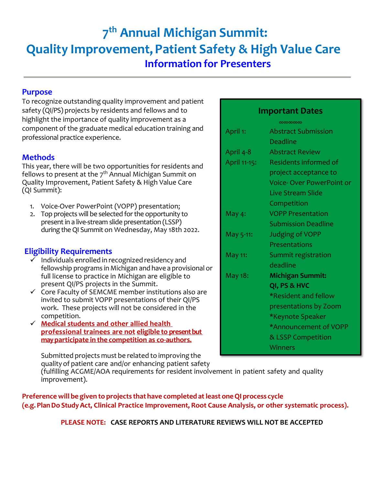# **7 th Annual Michigan Summit: Quality Improvement, Patient Safety & High Value Care Information for Presenters**

# **Purpose**

To recognize outstanding quality improvement and patient safety (QI/PS) projects by residents and fellows and to highlight the importance of quality improvement as a component of the graduate medical education training and professional practice experience.

# **Methods**

This year, there will be two opportunities for residents and fellows to present at the 7<sup>th</sup> Annual Michigan Summit on Quality Improvement, Patient Safety & High Value Care (QI Summit):

- 1. Voice-Over PowerPoint (VOPP) presentation;
- 2. Top projects will be selected for the opportunity to present in a live-stream slide presentation (LSSP) during the QI Summit on Wednesday, May 18th 2022.

# **Eligibility Requirements**

- $\checkmark$  Individuals enrolled in recognized residency and fellowship programs in Michigan and have a provisional or full license to practice in Michigan are eligible to present QI/PS projects in the Summit.
- $\checkmark$  Core Faculty of SEMCME member institutions also are invited to submit VOPP presentations of their QI/PS work. These projects will not be considered in the competition.
- **Medical students and other allied health professional trainees are not eligible to present but may participate in the competition as co-authors.**

Submitted projects must be related to improving the qualityof patient care and/or enhancing patient safety

(fulfilling ACGME/AOA requirements for resident involvement in patient safety and quality improvement).

**Preference will be given to projects that have completed atleast oneQI process cycle (e.g.PlanDo StudyAct, Clinical Practice Improvement, Root Cause Analysis, or other systematic process).**

**PLEASE NOTE: CASE REPORTS AND LITERATURE REVIEWS WILL NOT BE ACCEPTED**

# **Important Dates**

|              | $\infty$ $\infty$ $\infty$ $\infty$ |
|--------------|-------------------------------------|
| April 1:     | <b>Abstract Submission</b>          |
|              | Deadline                            |
| April 4-8    | <b>Abstract Review</b>              |
| April 11-15: | Residents informed of               |
|              | project acceptance to               |
|              | <b>Voice-Over PowerPoint or</b>     |
|              | <b>Live Stream Slide</b>            |
|              | Competition                         |
| May 4:       | <b>VOPP Presentation</b>            |
|              | <b>Submission Deadline</b>          |
| May 5-11:    | <b>Judging of VOPP</b>              |
|              | Presentations                       |
| May 11:      | Summit registration                 |
|              | deadline                            |
| May 18:      | <b>Michigan Summit:</b>             |
|              | QI, PS & HVC                        |
|              | *Resident and fellow                |
|              | presentations by Zoom               |
|              | *Keynote Speaker                    |
|              | *Announcement of VOPP               |
|              | & LSSP Competition                  |
|              | <b>Winners</b>                      |
|              |                                     |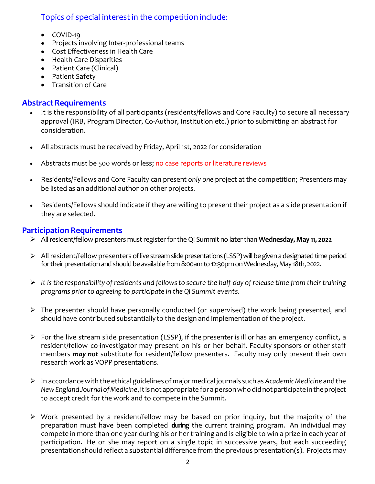# Topics of special interest in the competition include:

- COVID-19
- Projects involving Inter-professional teams
- Cost Effectiveness in Health Care
- Health Care Disparities
- Patient Care (Clinical)
- Patient Safety
- Transition of Care

### **Abstract Requirements**

- It is the responsibility of all participants (residents/fellows and Core Faculty) to secure all necessary approval (IRB, Program Director, Co-Author, Institution etc.) prior to submitting an abstract for consideration.
- All abstracts must be received by Friday, April 1st, 2022 for consideration
- Abstracts must be 500 words or less; no case reports or literature reviews
- Residents/Fellows and Core Faculty can present *only one* project at the competition; Presenters may be listed as an additional author on other projects.
- Residents/Fellows should indicate if they are willing to present their project as a slide presentation if they are selected.

# **Participation Requirements**

- All resident/fellow presenters must register for the QI Summit no later than **Wednesday, May 11, 2022**
- All resident/fellow presenters of live streamslide presentations (LSSP) will be given a designated time period for their presentation and should be available from 8:00am to 12:30pmon Wednesday, May 18th, 2022.
- $\triangleright$  It is the responsibility of residents and fellows to secure the half-day of release time from their training *programs prior to agreeing to participate in the QI Summit events.*
- $\triangleright$  The presenter should have personally conducted (or supervised) the work being presented, and should have contributed substantially to the design and implementation of the project.
- $\triangleright$  For the live stream slide presentation (LSSP), if the presenter is ill or has an emergency conflict, a resident/fellow co-investigator may present on his or her behalf. Faculty sponsors or other staff members *may not* substitute for resident/fellow presenters. Faculty may only present their own research work as VOPP presentations.
- In accordancewith the ethicalguidelinesof majormedical journals suchas *AcademicMedicine* andthe *NewEnglandJournalofMedicine*,itisnotappropriate for apersonwhodidnotparticipateintheproject to accept credit for the work and to compete in the Summit.
- $\triangleright$  Work presented by a resident/fellow may be based on prior inquiry, but the majority of the preparation must have been completed **during** the current training program. An individual may compete in more than one year during his or her training and is eligible to win a prize in each year of participation. He or she may report on a single topic in successive years, but each succeeding presentation should reflect a substantial difference from the previous presentation(s). Projects may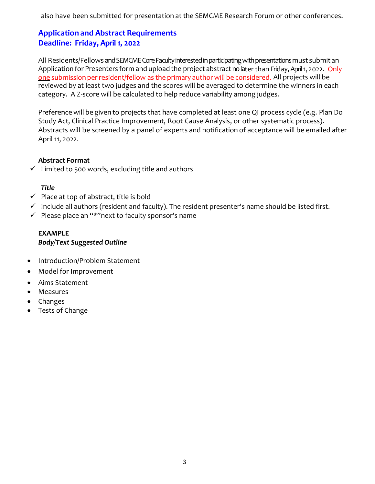also have been submitted for presentation at the SEMCME Research Forum or other conferences.

# **Application and Abstract Requirements Deadline: Friday, April 1, 2022**

All Residents/Fellows and SEMCME Core Faculty interested in participating withpresentations must submit an Application for Presenters form and upload the project abstract no later than Friday, April 1, 2022. Only one submission per resident/fellow as the primary author will be considered. All projects will be reviewed by at least two judges and the scores will be averaged to determine the winners in each category. A Z-score will be calculated to help reduce variability among judges.

Preference will be given to projects that have completed at least one QI process cycle (e.g. Plan Do Study Act, Clinical Practice Improvement, Root Cause Analysis, or other systematic process). Abstracts will be screened by a panel of experts and notification of acceptance will be emailed after April 11, 2022.

#### **Abstract Format**

 $\checkmark$  Limited to 500 words, excluding title and authors

#### *Title*

- $\checkmark$  Place at top of abstract, title is bold
- $\checkmark$  Include all authors (resident and faculty). The resident presenter's name should be listed first.
- $\checkmark$  Please place an "\*"next to faculty sponsor's name

#### **EXAMPLE**  *Body/Text Suggested Outline*

- Introduction/Problem Statement
- Model for Improvement
- Aims Statement
- Measures
- Changes
- Tests of Change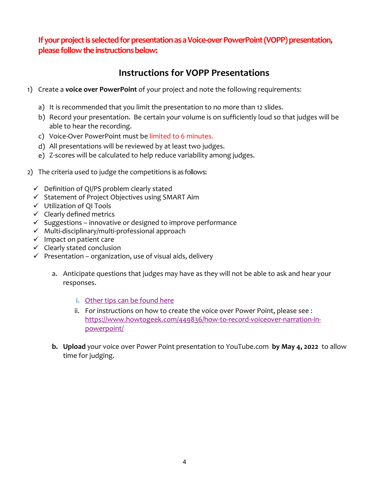**If your project is selected for presentation as a Voice-over PowerPoint(VOPP) presentation, please follow the instructions below:** 

# **Instructions for VOPP Presentations**

- 1) Create a **voice over PowerPoint** of your project and note the following requirements:
	- a) It is recommended that you limit the presentation to no more than 12 slides.
	- b) Record your presentation. Be certain your volume is on sufficiently loud so that judges will be able to hear the recording.
	- c) Voice-Over PowerPoint must be limited to 6 minutes.
	- d) All presentations will be reviewed by at least two judges.
	- e) Z-scores will be calculated to help reduce variability among judges.
- 2) The criteria used to judge the competitions is as follows:
	- $\checkmark$  Definition of QI/PS problem clearly stated
	- $\checkmark$  Statement of Project Objectives using SMART Aim
	- Utilization of QI Tools
	- $\checkmark$  Clearly defined metrics
	- $\checkmark$  Suggestions innovative or designed to improve performance
	- $\checkmark$  Multi-disciplinary/multi-professional approach
	- $\checkmark$  Impact on patient care
	- $\checkmark$  Clearly stated conclusion
	- $\checkmark$  Presentation organization, use of visual aids, delivery
		- a. Anticipate questions that judges may have as they will not be able to ask and hear your responses.
			- i. [Other tips can be found here](http://www.pitt.edu/~gveser/Ethics/HowToGiveAPresentation.pdf)
			- ii. For instructions on how to create the voice over Power Point, please see : [https://www.howtogeek.com/449836/how-to-record-voiceover-narration-in](https://www.howtogeek.com/449836/how-to-record-voiceover-narration-in-powerpoint/)[powerpoint/](https://www.howtogeek.com/449836/how-to-record-voiceover-narration-in-powerpoint/)
		- **b. Upload** your voice over Power Point presentation to YouTube.com **by May 4, 2022** to allow time for judging.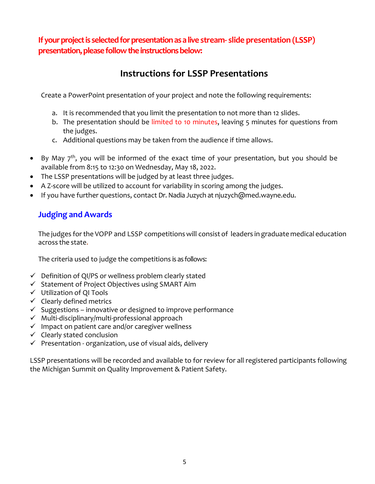**If your project is selected for presentation as a live stream- slide presentation (LSSP) presentation, please follow the instructions below:** 

# **Instructions for LSSP Presentations**

Create a PowerPoint presentation of your project and note the following requirements:

- a. It is recommended that you limit the presentation to not more than 12 slides.
- b. The presentation should be limited to 10 minutes, leaving 5 minutes for questions from the judges.
- c. Additional questions may be taken from the audience if time allows.
- By May  $7<sup>th</sup>$ , you will be informed of the exact time of your presentation, but you should be available from 8:15 to 12:30 on Wednesday, May 18, 2022.
- The LSSP presentations will be judged by at least three judges.
- A Z-score will be utilized to account for variability in scoring among the judges.
- If you have further questions, contact Dr. Nadia Juzych at njuzych@med.wayne.edu.

# **Judging and Awards**

The judges for the VOPP and LSSP competitions will consist of leaders in graduate medical education across the state.

The criteria used to judge the competitions is as follows:

- $\checkmark$  Definition of QI/PS or wellness problem clearly stated
- $\checkmark$  Statement of Project Objectives using SMART Aim
- $\checkmark$  Utilization of QI Tools
- $\checkmark$  Clearly defined metrics
- $\checkmark$  Suggestions innovative or designed to improve performance
- $\checkmark$  Multi-disciplinary/multi-professional approach
- $\checkmark$  Impact on patient care and/or caregiver wellness
- $\checkmark$  Clearly stated conclusion
- $\checkmark$  Presentation organization, use of visual aids, delivery

LSSP presentations will be recorded and available to for review for all registered participants following the Michigan Summit on Quality Improvement & Patient Safety.